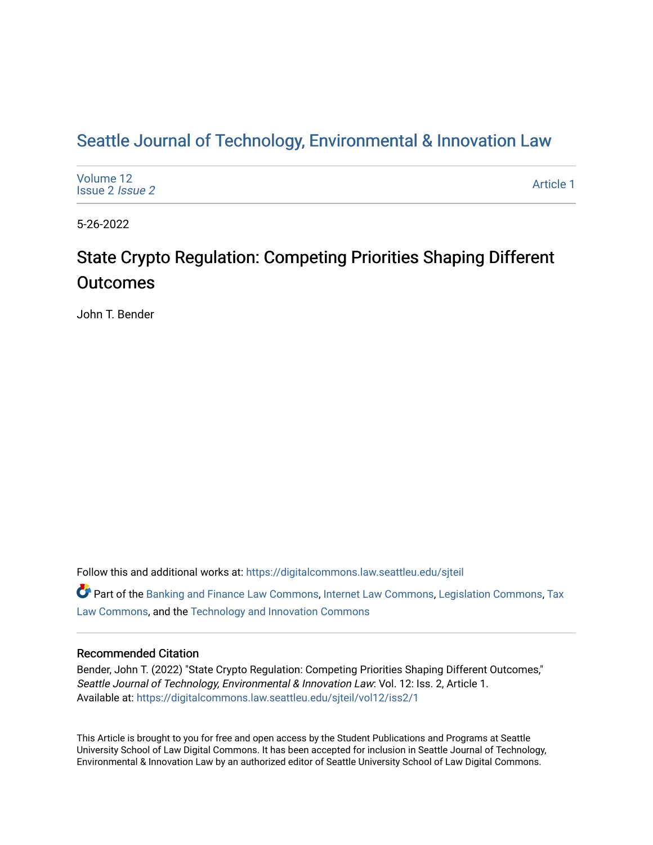# Seattle Journal of Technology, Environmental & Innovation Law

| Volume 12<br>Issue 2 <i>Issue 2</i> | Article 1 |
|-------------------------------------|-----------|
|-------------------------------------|-----------|

5-26-2022

# State Crypto Regulation: Competing Priorities Shaping Different **Outcomes**

John T. Bender

Follow this and additional works at: [https://digitalcommons.law.seattleu.edu/sjteil](https://digitalcommons.law.seattleu.edu/sjteil?utm_source=digitalcommons.law.seattleu.edu%2Fsjteil%2Fvol12%2Fiss2%2F1&utm_medium=PDF&utm_campaign=PDFCoverPages)

Part of the [Banking and Finance Law Commons,](https://network.bepress.com/hgg/discipline/833?utm_source=digitalcommons.law.seattleu.edu%2Fsjteil%2Fvol12%2Fiss2%2F1&utm_medium=PDF&utm_campaign=PDFCoverPages) [Internet Law Commons](https://network.bepress.com/hgg/discipline/892?utm_source=digitalcommons.law.seattleu.edu%2Fsjteil%2Fvol12%2Fiss2%2F1&utm_medium=PDF&utm_campaign=PDFCoverPages), [Legislation Commons,](https://network.bepress.com/hgg/discipline/859?utm_source=digitalcommons.law.seattleu.edu%2Fsjteil%2Fvol12%2Fiss2%2F1&utm_medium=PDF&utm_campaign=PDFCoverPages) [Tax](https://network.bepress.com/hgg/discipline/898?utm_source=digitalcommons.law.seattleu.edu%2Fsjteil%2Fvol12%2Fiss2%2F1&utm_medium=PDF&utm_campaign=PDFCoverPages)  [Law Commons,](https://network.bepress.com/hgg/discipline/898?utm_source=digitalcommons.law.seattleu.edu%2Fsjteil%2Fvol12%2Fiss2%2F1&utm_medium=PDF&utm_campaign=PDFCoverPages) and the [Technology and Innovation Commons](https://network.bepress.com/hgg/discipline/644?utm_source=digitalcommons.law.seattleu.edu%2Fsjteil%2Fvol12%2Fiss2%2F1&utm_medium=PDF&utm_campaign=PDFCoverPages) 

## Recommended Citation

Bender, John T. (2022) "State Crypto Regulation: Competing Priorities Shaping Different Outcomes," Seattle Journal of Technology, Environmental & Innovation Law: Vol. 12: Iss. 2, Article 1. Available at: [https://digitalcommons.law.seattleu.edu/sjteil/vol12/iss2/1](https://digitalcommons.law.seattleu.edu/sjteil/vol12/iss2/1?utm_source=digitalcommons.law.seattleu.edu%2Fsjteil%2Fvol12%2Fiss2%2F1&utm_medium=PDF&utm_campaign=PDFCoverPages) 

This Article is brought to you for free and open access by the Student Publications and Programs at Seattle University School of Law Digital Commons. It has been accepted for inclusion in Seattle Journal of Technology, Environmental & Innovation Law by an authorized editor of Seattle University School of Law Digital Commons.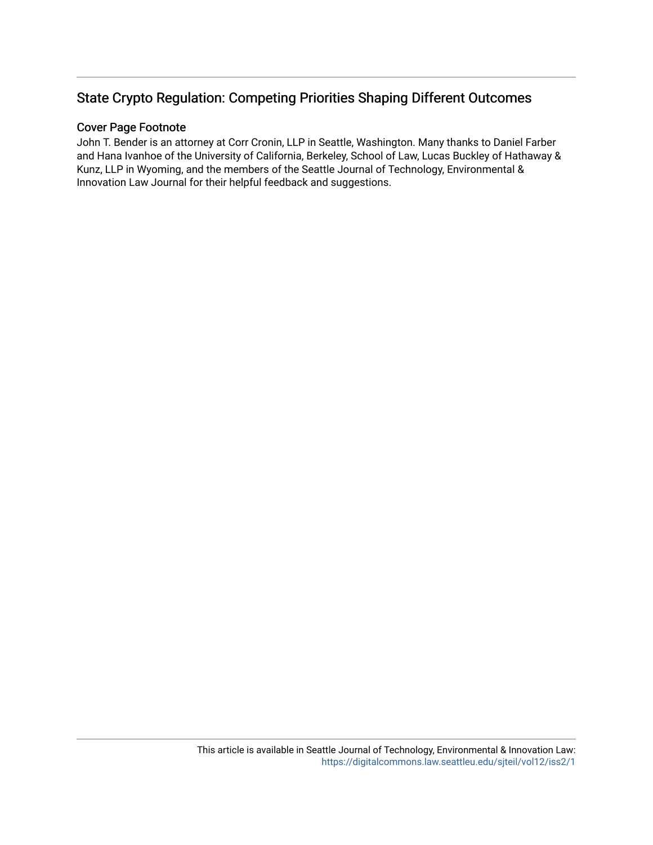# State Crypto Regulation: Competing Priorities Shaping Different Outcomes

## Cover Page Footnote

John T. Bender is an attorney at Corr Cronin, LLP in Seattle, Washington. Many thanks to Daniel Farber and Hana Ivanhoe of the University of California, Berkeley, School of Law, Lucas Buckley of Hathaway & Kunz, LLP in Wyoming, and the members of the Seattle Journal of Technology, Environmental & Innovation Law Journal for their helpful feedback and suggestions.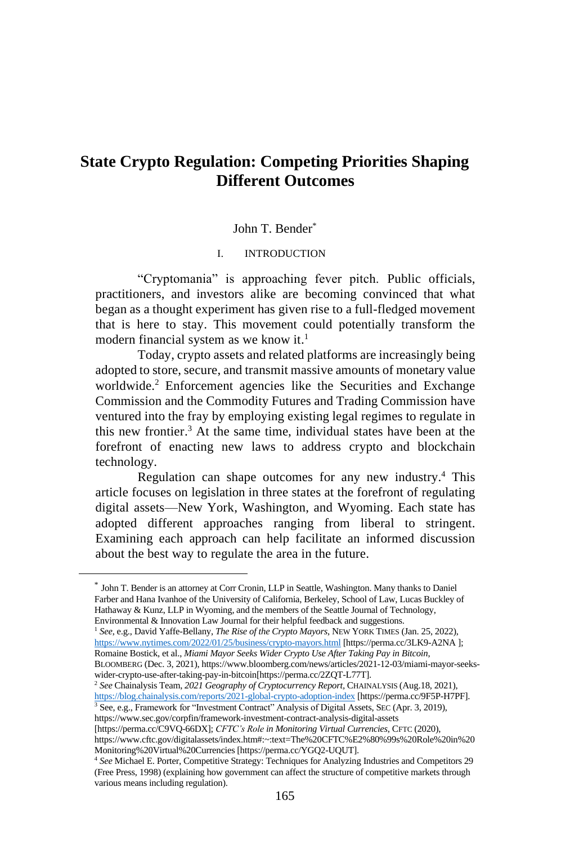# **State Crypto Regulation: Competing Priorities Shaping Different Outcomes**

#### John T. Bender\*

#### I. INTRODUCTION

"Cryptomania" is approaching fever pitch. Public officials, practitioners, and investors alike are becoming convinced that what began as a thought experiment has given rise to a full-fledged movement that is here to stay. This movement could potentially transform the modern financial system as we know it. 1

Today, crypto assets and related platforms are increasingly being adopted to store, secure, and transmit massive amounts of monetary value worldwide.<sup>2</sup> Enforcement agencies like the Securities and Exchange Commission and the Commodity Futures and Trading Commission have ventured into the fray by employing existing legal regimes to regulate in this new frontier. <sup>3</sup> At the same time, individual states have been at the forefront of enacting new laws to address crypto and blockchain technology.

Regulation can shape outcomes for any new industry.<sup>4</sup> This article focuses on legislation in three states at the forefront of regulating digital assets—New York, Washington, and Wyoming. Each state has adopted different approaches ranging from liberal to stringent. Examining each approach can help facilitate an informed discussion about the best way to regulate the area in the future.

<sup>1</sup> *See*, e.g., David Yaffe-Bellany, *The Rise of the Crypto Mayors*, NEW YORK TIMES (Jan. 25, 2022), <https://www.nytimes.com/2022/01/25/business/crypto-mayors.html> [https://perma.cc/3LK9-A2NA ]; Romaine Bostick, et al., *Miami Mayor Seeks Wider Crypto Use After Taking Pay in Bitcoin*, BLOOMBERG (Dec. 3, 2021), https://www.bloomberg.com/news/articles/2021-12-03/miami-mayor-seekswider-crypto-use-after-taking-pay-in-bitcoin[https://perma.cc/2ZQT-L77T].

https://www.sec.gov/corpfin/framework-investment-contract-analysis-digital-assets

[https://perma.cc/C9VQ-66DX]; *CFTC's Role in Monitoring Virtual Currencies*, CFTC (2020), https://www.cftc.gov/digitalassets/index.htm#:~:text=The%20CFTC%E2%80%99s%20Role%20in%20 Monitoring%20Virtual%20Currencies [https://perma.cc/YGQ2-UQUT].

<sup>\*</sup> John T. Bender is an attorney at Corr Cronin, LLP in Seattle, Washington. Many thanks to Daniel Farber and Hana Ivanhoe of the University of California, Berkeley, School of Law, Lucas Buckley of Hathaway & Kunz, LLP in Wyoming, and the members of the Seattle Journal of Technology, Environmental & Innovation Law Journal for their helpful feedback and suggestions.

<sup>2</sup> *See* Chainalysis Team, *2021 Geography of Cryptocurrency Report,* CHAINALYSIS (Aug.18, 2021), <https://blog.chainalysis.com/reports/2021-global-crypto-adoption-index> [https://perma.cc/9F5P-H7PF]. <sup>3</sup> See, e.g., Framework for "Investment Contract" Analysis of Digital Assets, SEC (Apr. 3, 2019),

<sup>4</sup> *See* Michael E. Porter, Competitive Strategy: Techniques for Analyzing Industries and Competitors 29 (Free Press, 1998) (explaining how government can affect the structure of competitive markets through various means including regulation).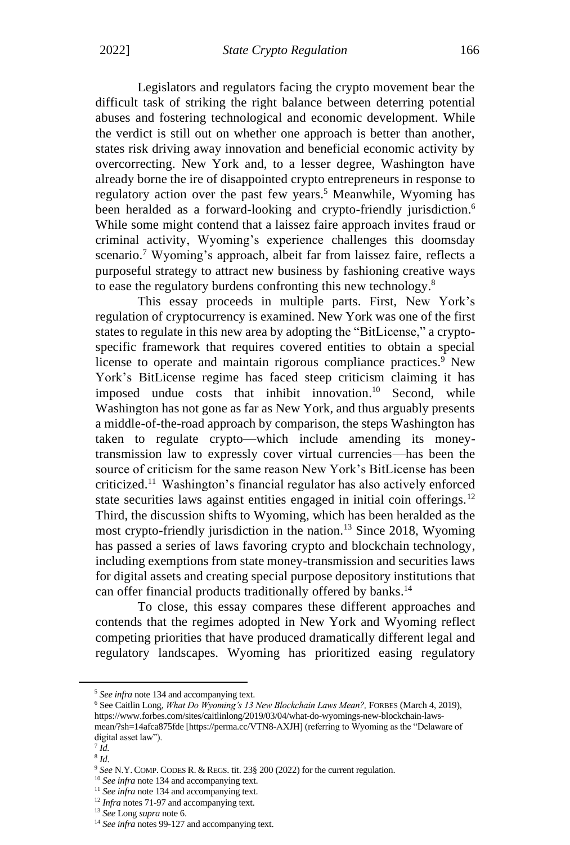Legislators and regulators facing the crypto movement bear the difficult task of striking the right balance between deterring potential abuses and fostering technological and economic development. While the verdict is still out on whether one approach is better than another, states risk driving away innovation and beneficial economic activity by overcorrecting. New York and, to a lesser degree, Washington have already borne the ire of disappointed crypto entrepreneurs in response to regulatory action over the past few years. <sup>5</sup> Meanwhile, Wyoming has been heralded as a forward-looking and crypto-friendly jurisdiction.<sup>6</sup> While some might contend that a laissez faire approach invites fraud or criminal activity, Wyoming's experience challenges this doomsday scenario.<sup>7</sup> Wyoming's approach, albeit far from laissez faire, reflects a purposeful strategy to attract new business by fashioning creative ways to ease the regulatory burdens confronting this new technology.<sup>8</sup>

This essay proceeds in multiple parts. First, New York's regulation of cryptocurrency is examined. New York was one of the first states to regulate in this new area by adopting the "BitLicense," a cryptospecific framework that requires covered entities to obtain a special license to operate and maintain rigorous compliance practices.<sup>9</sup> New York's BitLicense regime has faced steep criticism claiming it has imposed undue costs that inhibit innovation. <sup>10</sup> Second, while Washington has not gone as far as New York, and thus arguably presents a middle-of-the-road approach by comparison, the steps Washington has taken to regulate crypto—which include amending its moneytransmission law to expressly cover virtual currencies—has been the source of criticism for the same reason New York's BitLicense has been criticized.<sup>11</sup> Washington's financial regulator has also actively enforced state securities laws against entities engaged in initial coin offerings.<sup>12</sup> Third, the discussion shifts to Wyoming, which has been heralded as the most crypto-friendly jurisdiction in the nation.<sup>13</sup> Since 2018, Wyoming has passed a series of laws favoring crypto and blockchain technology, including exemptions from state money-transmission and securities laws for digital assets and creating special purpose depository institutions that can offer financial products traditionally offered by banks.<sup>14</sup>

To close, this essay compares these different approaches and contends that the regimes adopted in New York and Wyoming reflect competing priorities that have produced dramatically different legal and regulatory landscapes. Wyoming has prioritized easing regulatory

<sup>5</sup> *See infra* note 134 and accompanying text.

<sup>6</sup> See Caitlin Long, *What Do Wyoming's 13 New Blockchain Laws Mean?,* FORBES (March 4, 2019), https://www.forbes.com/sites/caitlinlong/2019/03/04/what-do-wyomings-new-blockchain-lawsmean/?sh=14afca875fde [https://perma.cc/VTN8-AXJH] (referring to Wyoming as the "Delaware of digital asset law").

<sup>7</sup> *Id.*

<sup>8</sup> *Id*.

<sup>9</sup> *See* N.Y. COMP. CODES R. & REGS. tit. 23§ 200 (2022) for the current regulation.

<sup>&</sup>lt;sup>10</sup> See infra note 134 and accompanying text.

<sup>&</sup>lt;sup>11</sup> See infra note 134 and accompanying text.

<sup>&</sup>lt;sup>12</sup> *Infra* notes 71-97 and accompanying text.

<sup>13</sup> *See* Long *supra* note 6.

<sup>&</sup>lt;sup>14</sup> *See infra* notes 99-127 and accompanying text.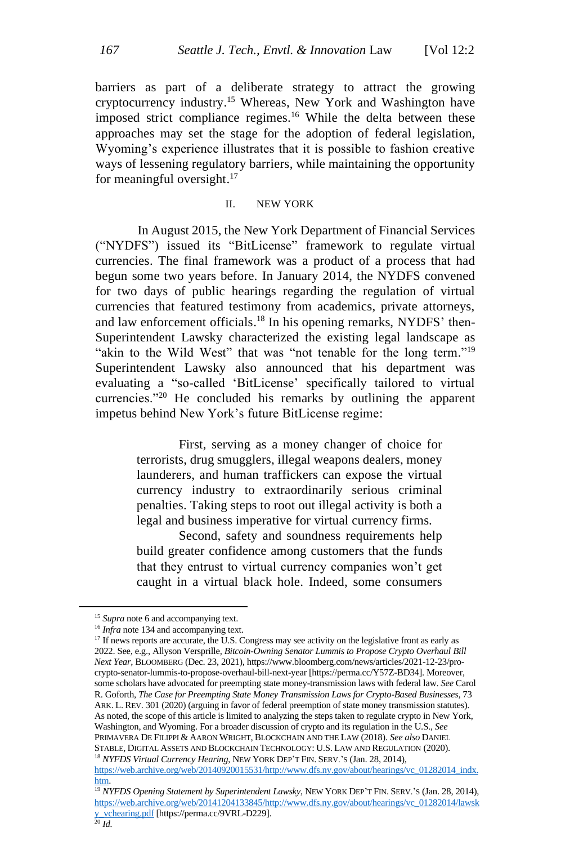barriers as part of a deliberate strategy to attract the growing cryptocurrency industry. <sup>15</sup> Whereas, New York and Washington have imposed strict compliance regimes.<sup>16</sup> While the delta between these approaches may set the stage for the adoption of federal legislation, Wyoming's experience illustrates that it is possible to fashion creative ways of lessening regulatory barriers, while maintaining the opportunity for meaningful oversight. 17

## II. NEW YORK

In August 2015, the New York Department of Financial Services ("NYDFS") issued its "BitLicense" framework to regulate virtual currencies. The final framework was a product of a process that had begun some two years before. In January 2014, the NYDFS convened for two days of public hearings regarding the regulation of virtual currencies that featured testimony from academics, private attorneys, and law enforcement officials. <sup>18</sup> In his opening remarks, NYDFS' then-Superintendent Lawsky characterized the existing legal landscape as "akin to the Wild West" that was "not tenable for the long term."<sup>19</sup> Superintendent Lawsky also announced that his department was evaluating a "so-called 'BitLicense' specifically tailored to virtual currencies."<sup>20</sup> He concluded his remarks by outlining the apparent impetus behind New York's future BitLicense regime:

> First, serving as a money changer of choice for terrorists, drug smugglers, illegal weapons dealers, money launderers, and human traffickers can expose the virtual currency industry to extraordinarily serious criminal penalties. Taking steps to root out illegal activity is both a legal and business imperative for virtual currency firms.

> Second, safety and soundness requirements help build greater confidence among customers that the funds that they entrust to virtual currency companies won't get caught in a virtual black hole. Indeed, some consumers

<sup>&</sup>lt;sup>15</sup> Supra note 6 and accompanying text.

<sup>&</sup>lt;sup>16</sup> *Infra* note 134 and accompanying text.

 $17$  If news reports are accurate, the U.S. Congress may see activity on the legislative front as early as 2022. See, e.g., Allyson Versprille*, Bitcoin-Owning Senator Lummis to Propose Crypto Overhaul Bill Next Year,* BLOOMBERG (Dec. 23, 2021), https://www.bloomberg.com/news/articles/2021-12-23/procrypto-senator-lummis-to-propose-overhaul-bill-next-year [https://perma.cc/Y57Z-BD34]. Moreover, some scholars have advocated for preempting state money-transmission laws with federal law. *See* Carol R. Goforth, *The Case for Preempting State Money Transmission Laws for Crypto-Based Businesses*, 73 ARK. L. REV. 301 (2020) (arguing in favor of federal preemption of state money transmission statutes). As noted, the scope of this article is limited to analyzing the steps taken to regulate crypto in New York, Washington, and Wyoming. For a broader discussion of crypto and its regulation in the U.S., *See* PRIMAVERA DE FILIPPI & AARON WRIGHT, BLOCKCHAIN AND THE LAW (2018). *See also* DANIEL STABLE, DIGITAL ASSETS AND BLOCKCHAIN TECHNOLOGY: U.S. LAW AND REGULATION (2020). <sup>18</sup> *NYFDS Virtual Currency Hearing*, NEW YORK DEP'T FIN. SERV.'S (Jan. 28, 2014), [https://web.archive.org/web/20140920015531/http://www.dfs.ny.gov/about/hearings/vc\\_01282014\\_indx.](https://web.archive.org/web/20140920015531/http:/www.dfs.ny.gov/about/hearings/vc_01282014_indx.htm)

[htm.](https://web.archive.org/web/20140920015531/http:/www.dfs.ny.gov/about/hearings/vc_01282014_indx.htm)

<sup>19</sup> *NYFDS Opening Statement by Superintendent Lawsky*, NEW YORK DEP'T FIN. SERV.'S (Jan. 28, 2014), [https://web.archive.org/web/20141204133845/http://www.dfs.ny.gov/about/hearings/vc\\_01282014/lawsk](https://web.archive.org/web/20141204133845/http:/www.dfs.ny.gov/about/hearings/vc_01282014/lawsky_vchearing.pdf) [y\\_vchearing.pdf](https://web.archive.org/web/20141204133845/http:/www.dfs.ny.gov/about/hearings/vc_01282014/lawsky_vchearing.pdf) [https://perma.cc/9VRL-D229].

<sup>20</sup> *Id.*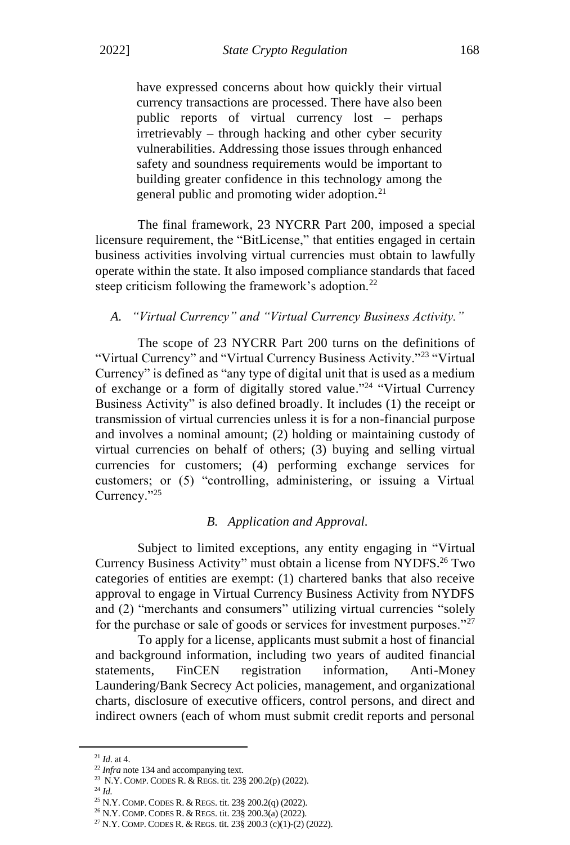have expressed concerns about how quickly their virtual currency transactions are processed. There have also been public reports of virtual currency lost – perhaps irretrievably – through hacking and other cyber security vulnerabilities. Addressing those issues through enhanced safety and soundness requirements would be important to building greater confidence in this technology among the general public and promoting wider adoption.<sup>21</sup>

The final framework, 23 NYCRR Part 200, imposed a special licensure requirement, the "BitLicense," that entities engaged in certain business activities involving virtual currencies must obtain to lawfully operate within the state. It also imposed compliance standards that faced steep criticism following the framework's adoption.<sup>22</sup>

### *A. "Virtual Currency" and "Virtual Currency Business Activity."*

The scope of 23 NYCRR Part 200 turns on the definitions of "Virtual Currency" and "Virtual Currency Business Activity."<sup>23</sup> "Virtual Currency" is defined as "any type of digital unit that is used as a medium of exchange or a form of digitally stored value."<sup>24</sup> "Virtual Currency Business Activity" is also defined broadly. It includes (1) the receipt or transmission of virtual currencies unless it is for a non-financial purpose and involves a nominal amount; (2) holding or maintaining custody of virtual currencies on behalf of others; (3) buying and selling virtual currencies for customers; (4) performing exchange services for customers; or (5) "controlling, administering, or issuing a Virtual Currency."<sup>25</sup>

#### *B. Application and Approval.*

Subject to limited exceptions, any entity engaging in "Virtual Currency Business Activity" must obtain a license from NYDFS.<sup>26</sup> Two categories of entities are exempt: (1) chartered banks that also receive approval to engage in Virtual Currency Business Activity from NYDFS and (2) "merchants and consumers" utilizing virtual currencies "solely for the purchase or sale of goods or services for investment purposes."<sup>27</sup>

To apply for a license, applicants must submit a host of financial and background information, including two years of audited financial statements, FinCEN registration information, Anti-Money Laundering/Bank Secrecy Act policies, management, and organizational charts, disclosure of executive officers, control persons, and direct and indirect owners (each of whom must submit credit reports and personal

<sup>24</sup> *Id.*

<sup>21</sup> *Id*. at 4.

<sup>&</sup>lt;sup>22</sup> *Infra* note 134 and accompanying text.

<sup>23</sup> N.Y. COMP. CODES R. & REGS. tit. 23§ 200.2(p) (2022).

<sup>25</sup> N.Y. COMP. CODES R. & REGS. tit. 23§ 200.2(q) (2022).

<sup>26</sup> N.Y. COMP. CODES R. & REGS. tit. 23§ 200.3(a) (2022).

<sup>27</sup> N.Y. COMP. CODES R. & REGS. tit. 23§ 200.3 (c)(1)-(2) (2022).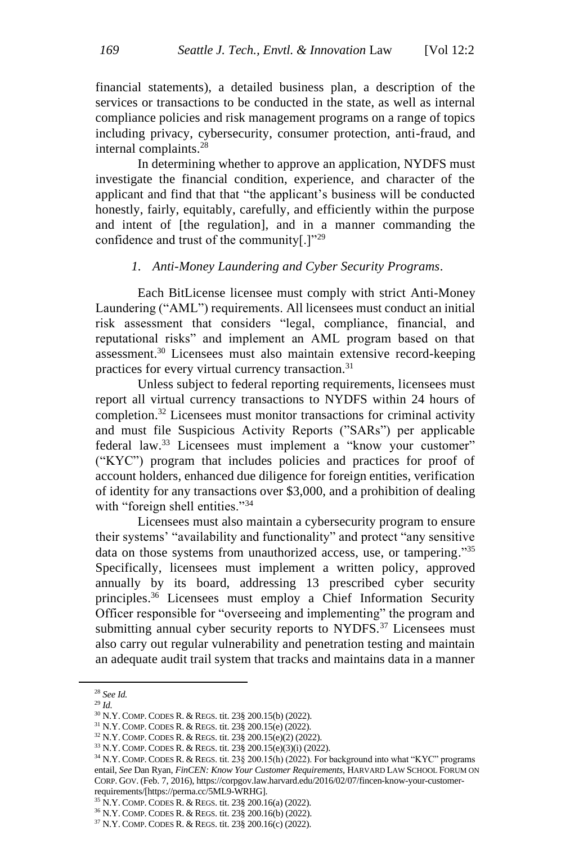financial statements), a detailed business plan, a description of the services or transactions to be conducted in the state, as well as internal compliance policies and risk management programs on a range of topics including privacy, cybersecurity, consumer protection, anti-fraud, and internal complaints.<sup>28</sup>

In determining whether to approve an application, NYDFS must investigate the financial condition, experience, and character of the applicant and find that that "the applicant's business will be conducted honestly, fairly, equitably, carefully, and efficiently within the purpose and intent of [the regulation], and in a manner commanding the confidence and trust of the community[.]"<sup>29</sup>

#### *1. Anti-Money Laundering and Cyber Security Programs.*

Each BitLicense licensee must comply with strict Anti-Money Laundering ("AML") requirements. All licensees must conduct an initial risk assessment that considers "legal, compliance, financial, and reputational risks" and implement an AML program based on that assessment. <sup>30</sup> Licensees must also maintain extensive record-keeping practices for every virtual currency transaction.<sup>31</sup>

Unless subject to federal reporting requirements, licensees must report all virtual currency transactions to NYDFS within 24 hours of completion. <sup>32</sup> Licensees must monitor transactions for criminal activity and must file Suspicious Activity Reports ("SARs") per applicable federal law.<sup>33</sup> Licensees must implement a "know your customer" ("KYC") program that includes policies and practices for proof of account holders, enhanced due diligence for foreign entities, verification of identity for any transactions over \$3,000, and a prohibition of dealing with "foreign shell entities."<sup>34</sup>

Licensees must also maintain a cybersecurity program to ensure their systems' "availability and functionality" and protect "any sensitive data on those systems from unauthorized access, use, or tampering."35 Specifically, licensees must implement a written policy, approved annually by its board, addressing 13 prescribed cyber security principles. <sup>36</sup> Licensees must employ a Chief Information Security Officer responsible for "overseeing and implementing" the program and submitting annual cyber security reports to NYDFS.<sup>37</sup> Licensees must also carry out regular vulnerability and penetration testing and maintain an adequate audit trail system that tracks and maintains data in a manner

<sup>29</sup> *Id.*

<sup>28</sup> *See Id.*

<sup>30</sup> N.Y. COMP. CODES R. & REGS. tit. 23§ 200.15(b) (2022).

<sup>31</sup> N.Y. COMP. CODES R. & REGS. tit. 23§ 200.15(e) (2022).

<sup>32</sup> N.Y. COMP. CODES R. & REGS. tit. 23§ 200.15(e)(2) (2022).

<sup>33</sup> N.Y. COMP. CODES R. & REGS. tit. 23§ 200.15(e)(3)(i) (2022).

<sup>34</sup> N.Y. COMP. CODES R. & REGS. tit. 23§ 200.15(h) (2022). For background into what "KYC" programs entail, *See* Dan Ryan, *FinCEN: Know Your Customer Requirements*, HARVARD LAW SCHOOL FORUM ON CORP. GOV. (Feb. 7, 2016), https://corpgov.law.harvard.edu/2016/02/07/fincen-know-your-customerrequirements/[https://perma.cc/5ML9-WRHG].

<sup>35</sup> N.Y. COMP. CODES R. & REGS. tit. 23§ 200.16(a) (2022).

<sup>36</sup> N.Y. COMP. CODES R. & REGS. tit. 23§ 200.16(b) (2022).

<sup>37</sup> N.Y. COMP. CODES R. & REGS. tit. 23§ 200.16(c) (2022).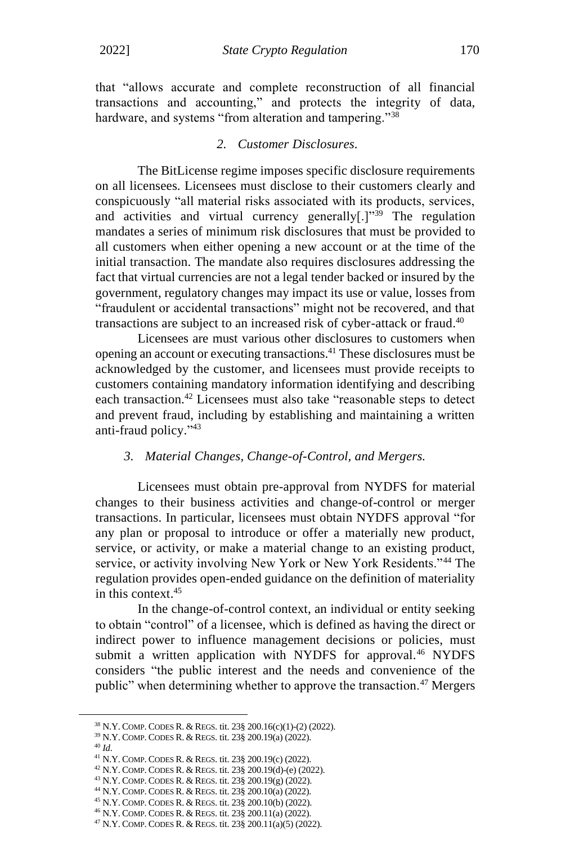that "allows accurate and complete reconstruction of all financial transactions and accounting," and protects the integrity of data, hardware, and systems "from alteration and tampering."<sup>38</sup>

#### *2. Customer Disclosures.*

The BitLicense regime imposes specific disclosure requirements on all licensees. Licensees must disclose to their customers clearly and conspicuously "all material risks associated with its products, services, and activities and virtual currency generally[.] $v^{39}$  The regulation mandates a series of minimum risk disclosures that must be provided to all customers when either opening a new account or at the time of the initial transaction. The mandate also requires disclosures addressing the fact that virtual currencies are not a legal tender backed or insured by the government, regulatory changes may impact its use or value, losses from "fraudulent or accidental transactions" might not be recovered, and that transactions are subject to an increased risk of cyber-attack or fraud. 40

Licensees are must various other disclosures to customers when opening an account or executing transactions. <sup>41</sup> These disclosures must be acknowledged by the customer, and licensees must provide receipts to customers containing mandatory information identifying and describing each transaction.<sup>42</sup> Licensees must also take "reasonable steps to detect and prevent fraud, including by establishing and maintaining a written anti-fraud policy." 43

#### *3. Material Changes, Change-of-Control, and Mergers.*

Licensees must obtain pre-approval from NYDFS for material changes to their business activities and change-of-control or merger transactions. In particular, licensees must obtain NYDFS approval "for any plan or proposal to introduce or offer a materially new product, service, or activity, or make a material change to an existing product, service, or activity involving New York or New York Residents."<sup>44</sup> The regulation provides open-ended guidance on the definition of materiality in this context. 45

In the change-of-control context, an individual or entity seeking to obtain "control" of a licensee, which is defined as having the direct or indirect power to influence management decisions or policies, must submit a written application with NYDFS for approval.<sup>46</sup> NYDFS considers "the public interest and the needs and convenience of the public" when determining whether to approve the transaction.<sup>47</sup> Mergers

<sup>38</sup> N.Y. COMP. CODES R. & REGS. tit. 23§ 200.16(c)(1)-(2) (2022).

<sup>39</sup> N.Y. COMP. CODES R. & REGS. tit. 23§ 200.19(a) (2022).

<sup>40</sup> *Id*.

<sup>41</sup> N.Y. COMP. CODES R. & REGS. tit. 23§ 200.19(c) (2022).

<sup>42</sup> N.Y. COMP. CODES R. & REGS. tit. 23§ 200.19(d)-(e) (2022).

<sup>43</sup> N.Y. COMP. CODES R. & REGS. tit. 23§ 200.19(g) (2022).

<sup>44</sup> N.Y. COMP. CODES R. & REGS. tit. 23§ 200.10(a) (2022).

<sup>45</sup> N.Y. COMP. CODES R. & REGS. tit. 23§ 200.10(b) (2022). <sup>46</sup> N.Y. COMP. CODES R. & REGS. tit. 23§ 200.11(a) (2022).

<sup>47</sup> N.Y. COMP. CODES R. & REGS. tit. 23§ 200.11(a)(5) (2022).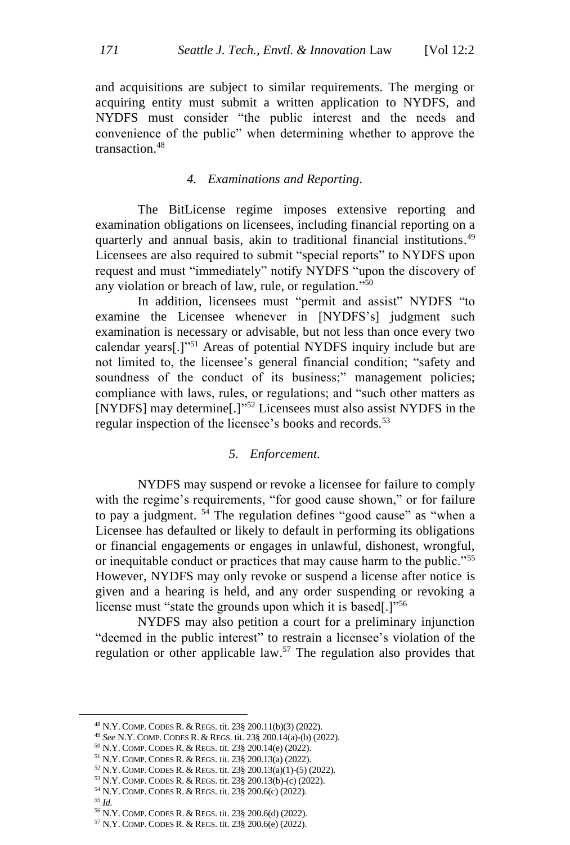and acquisitions are subject to similar requirements. The merging or acquiring entity must submit a written application to NYDFS, and NYDFS must consider "the public interest and the needs and convenience of the public" when determining whether to approve the transaction<sup>48</sup>

#### *4. Examinations and Reporting.*

The BitLicense regime imposes extensive reporting and examination obligations on licensees, including financial reporting on a quarterly and annual basis, akin to traditional financial institutions.<sup>49</sup> Licensees are also required to submit "special reports" to NYDFS upon request and must "immediately" notify NYDFS "upon the discovery of any violation or breach of law, rule, or regulation." 50

In addition, licensees must "permit and assist" NYDFS "to examine the Licensee whenever in [NYDFS's] judgment such examination is necessary or advisable, but not less than once every two calendar years[.]"<sup>51</sup> Areas of potential NYDFS inquiry include but are not limited to, the licensee's general financial condition; "safety and soundness of the conduct of its business;" management policies; compliance with laws, rules, or regulations; and "such other matters as [NYDFS] may determine[.]"<sup>52</sup> Licensees must also assist NYDFS in the regular inspection of the licensee's books and records.<sup>53</sup>

#### *5. Enforcement.*

NYDFS may suspend or revoke a licensee for failure to comply with the regime's requirements, "for good cause shown," or for failure to pay a judgment.  $54$  The regulation defines "good cause" as "when a Licensee has defaulted or likely to default in performing its obligations or financial engagements or engages in unlawful, dishonest, wrongful, or inequitable conduct or practices that may cause harm to the public."<sup>55</sup> However, NYDFS may only revoke or suspend a license after notice is given and a hearing is held, and any order suspending or revoking a license must "state the grounds upon which it is based.]<sup>"56</sup>

NYDFS may also petition a court for a preliminary injunction "deemed in the public interest" to restrain a licensee's violation of the regulation or other applicable law.<sup>57</sup> The regulation also provides that

<sup>55</sup> *Id.*

<sup>48</sup> N.Y. COMP. CODES R. & REGS. tit. 23§ 200.11(b)(3) (2022).

<sup>49</sup> *See* N.Y. COMP. CODES R. & REGS. tit. 23§ 200.14(a)-(b) (2022).

<sup>50</sup> N.Y. COMP. CODES R. & REGS. tit. 23§ 200.14(e) (2022).

<sup>51</sup> N.Y. COMP. CODES R. & REGS. tit. 23§ 200.13(a) (2022).

<sup>52</sup> N.Y. COMP. CODES R. & REGS. tit. 23§ 200.13(a)(1)-(5) (2022).

<sup>53</sup> N.Y. COMP. CODES R. & REGS. tit. 23§ 200.13(b)-(c) (2022).

<sup>54</sup> N.Y. COMP. CODES R. & REGS. tit. 23§ 200.6(c) (2022).

<sup>56</sup> N.Y. COMP. CODES R. & REGS. tit. 23§ 200.6(d) (2022).

<sup>57</sup> N.Y. COMP. CODES R. & REGS. tit. 23§ 200.6(e) (2022).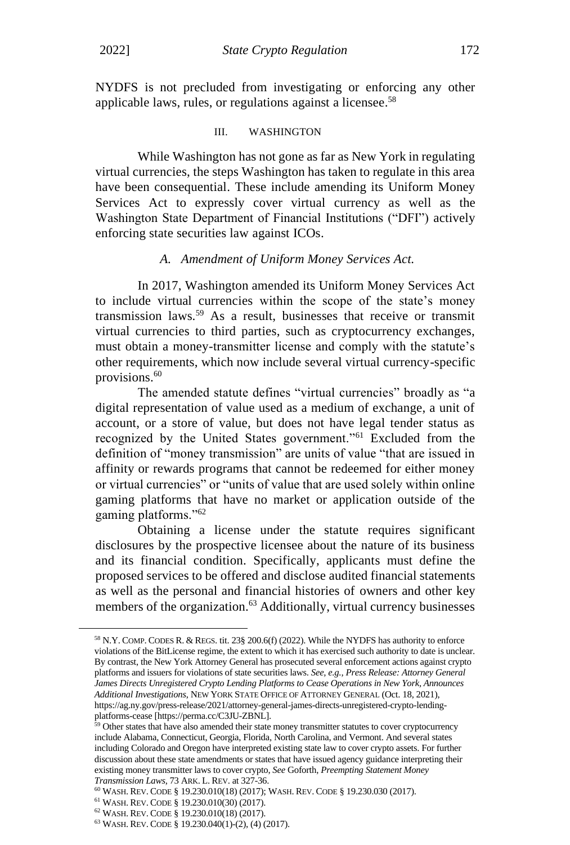NYDFS is not precluded from investigating or enforcing any other applicable laws, rules, or regulations against a licensee.<sup>58</sup>

#### III. WASHINGTON

While Washington has not gone as far as New York in regulating virtual currencies, the steps Washington has taken to regulate in this area have been consequential. These include amending its Uniform Money Services Act to expressly cover virtual currency as well as the Washington State Department of Financial Institutions ("DFI") actively enforcing state securities law against ICOs.

#### *A. Amendment of Uniform Money Services Act.*

In 2017, Washington amended its Uniform Money Services Act to include virtual currencies within the scope of the state's money transmission laws.<sup>59</sup> As a result, businesses that receive or transmit virtual currencies to third parties, such as cryptocurrency exchanges, must obtain a money-transmitter license and comply with the statute's other requirements, which now include several virtual currency-specific provisions.<sup>60</sup>

The amended statute defines "virtual currencies" broadly as "a digital representation of value used as a medium of exchange, a unit of account, or a store of value, but does not have legal tender status as recognized by the United States government."<sup>61</sup> Excluded from the definition of "money transmission" are units of value "that are issued in affinity or rewards programs that cannot be redeemed for either money or virtual currencies" or "units of value that are used solely within online gaming platforms that have no market or application outside of the gaming platforms."<sup>62</sup>

Obtaining a license under the statute requires significant disclosures by the prospective licensee about the nature of its business and its financial condition. Specifically, applicants must define the proposed services to be offered and disclose audited financial statements as well as the personal and financial histories of owners and other key members of the organization.<sup>63</sup> Additionally, virtual currency businesses

<sup>58</sup> N.Y. COMP. CODES R. & REGS. tit. 23§ 200.6(f) (2022). While the NYDFS has authority to enforce violations of the BitLicense regime, the extent to which it has exercised such authority to date is unclear. By contrast, the New York Attorney General has prosecuted several enforcement actions against crypto platforms and issuers for violations of state securities laws. *See, e.g., Press Release: Attorney General James Directs Unregistered Crypto Lending Platforms to Cease Operations in New York, Announces Additional Investigations*, NEW YORK STATE OFFICE OF ATTORNEY GENERAL (Oct. 18, 2021), https://ag.ny.gov/press-release/2021/attorney-general-james-directs-unregistered-crypto-lendingplatforms-cease [https://perma.cc/C3JU-ZBNL].

<sup>&</sup>lt;sup>59</sup> Other states that have also amended their state money transmitter statutes to cover cryptocurrency include Alabama, Connecticut, Georgia, Florida, North Carolina, and Vermont. And several states including Colorado and Oregon have interpreted existing state law to cover crypto assets. For further discussion about these state amendments or states that have issued agency guidance interpreting their existing money transmitter laws to cover crypto, *See* Goforth, *Preempting Statement Money* 

*Transmission Laws*, 73 ARK. L. REV. at 327-36.

<sup>60</sup> WASH. REV. CODE § 19.230.010(18) (2017); WASH. REV. CODE § 19.230.030 (2017).

<sup>61</sup> WASH. REV. CODE § 19.230.010(30) (2017).

<sup>62</sup> WASH. REV. CODE § 19.230.010(18) (2017).

<sup>63</sup> WASH. REV. CODE § 19.230.040(1)-(2), (4) (2017).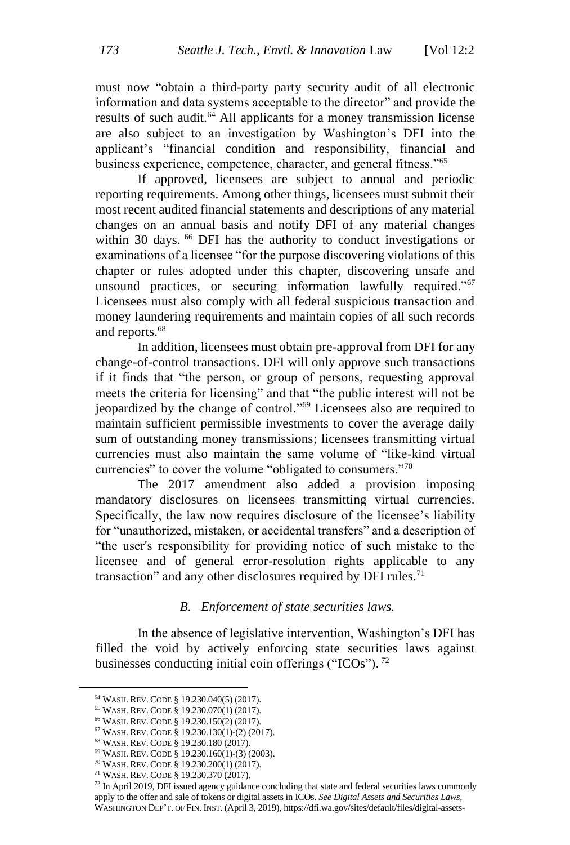must now "obtain a third-party party security audit of all electronic information and data systems acceptable to the director" and provide the results of such audit.<sup>64</sup> All applicants for a money transmission license are also subject to an investigation by Washington's DFI into the applicant's "financial condition and responsibility, financial and business experience, competence, character, and general fitness."<sup>65</sup>

If approved, licensees are subject to annual and periodic reporting requirements. Among other things, licensees must submit their most recent audited financial statements and descriptions of any material changes on an annual basis and notify DFI of any material changes within 30 days. <sup>66</sup> DFI has the authority to conduct investigations or examinations of a licensee "for the purpose discovering violations of this chapter or rules adopted under this chapter, discovering unsafe and unsound practices, or securing information lawfully required."<sup>67</sup> Licensees must also comply with all federal suspicious transaction and money laundering requirements and maintain copies of all such records and reports.<sup>68</sup>

In addition, licensees must obtain pre-approval from DFI for any change-of-control transactions. DFI will only approve such transactions if it finds that "the person, or group of persons, requesting approval meets the criteria for licensing" and that "the public interest will not be jeopardized by the change of control."<sup>69</sup> Licensees also are required to maintain sufficient permissible investments to cover the average daily sum of outstanding money transmissions; licensees transmitting virtual currencies must also maintain the same volume of "like-kind virtual currencies" to cover the volume "obligated to consumers."<sup>70</sup>

The 2017 amendment also added a provision imposing mandatory disclosures on licensees transmitting virtual currencies. Specifically, the law now requires disclosure of the licensee's liability for "unauthorized, mistaken, or accidental transfers" and a description of "the user's responsibility for providing notice of such mistake to the licensee and of general error-resolution rights applicable to any transaction" and any other disclosures required by DFI rules.<sup>71</sup>

#### *B. Enforcement of state securities laws.*

In the absence of legislative intervention, Washington's DFI has filled the void by actively enforcing state securities laws against businesses conducting initial coin offerings ("ICOs").  $^{72}$ 

<sup>64</sup> WASH. REV. CODE § 19.230.040(5) (2017).

<sup>65</sup> WASH. REV. CODE § 19.230.070(1) (2017).

<sup>66</sup> WASH. REV. CODE § 19.230.150(2) (2017).

<sup>67</sup> WASH. REV. CODE § 19.230.130(1)-(2) (2017).

<sup>68</sup> WASH. REV. CODE § 19.230.180 (2017).

<sup>69</sup> WASH. REV. CODE § 19.230.160(1)-(3) (2003).

<sup>70</sup> WASH. REV. CODE § 19.230.200(1) (2017).

<sup>71</sup> WASH. REV. CODE § 19.230.370 (2017).

<sup>&</sup>lt;sup>72</sup> In April 2019, DFI issued agency guidance concluding that state and federal securities laws commonly apply to the offer and sale of tokens or digital assets in ICOs. *See Digital Assets and Securities Laws*, WASHINGTON DEP'T. OF FIN. INST. (April 3, 2019), https://dfi.wa.gov/sites/default/files/digital-assets-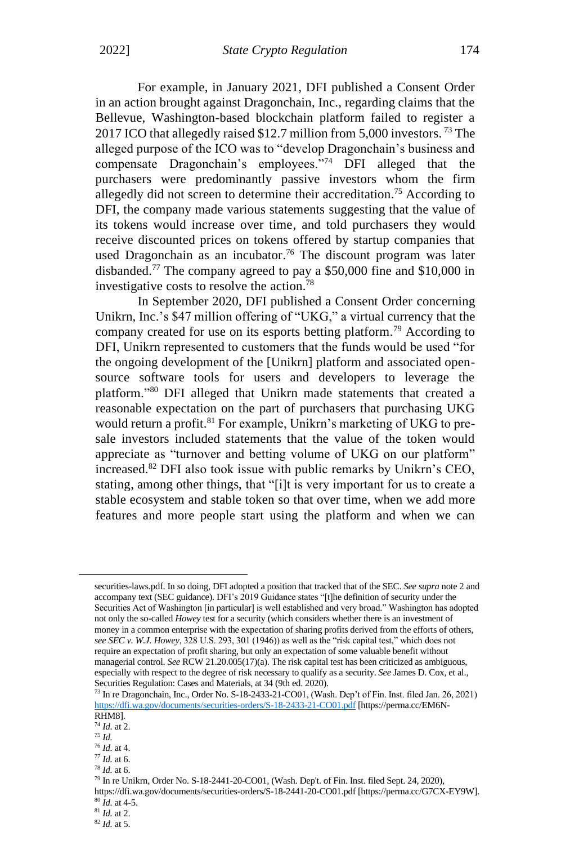For example, in January 2021, DFI published a Consent Order in an action brought against Dragonchain, Inc., regarding claims that the Bellevue, Washington-based blockchain platform failed to register a 2017 ICO that allegedly raised \$12.7 million from 5,000 investors. <sup>73</sup> The alleged purpose of the ICO was to "develop Dragonchain's business and compensate Dragonchain's employees."<sup>74</sup> DFI alleged that the purchasers were predominantly passive investors whom the firm allegedly did not screen to determine their accreditation.<sup>75</sup> According to DFI, the company made various statements suggesting that the value of its tokens would increase over time, and told purchasers they would receive discounted prices on tokens offered by startup companies that used Dragonchain as an incubator.<sup>76</sup> The discount program was later disbanded.<sup>77</sup> The company agreed to pay a \$50,000 fine and \$10,000 in investigative costs to resolve the action. 78

In September 2020, DFI published a Consent Order concerning Unikrn, Inc.'s \$47 million offering of "UKG," a virtual currency that the company created for use on its esports betting platform.<sup>79</sup> According to DFI, Unikrn represented to customers that the funds would be used "for the ongoing development of the [Unikrn] platform and associated opensource software tools for users and developers to leverage the platform."<sup>80</sup> DFI alleged that Unikrn made statements that created a reasonable expectation on the part of purchasers that purchasing UKG would return a profit.<sup>81</sup> For example, Unikrn's marketing of UKG to presale investors included statements that the value of the token would appreciate as "turnover and betting volume of UKG on our platform" increased.<sup>82</sup> DFI also took issue with public remarks by Unikrn's CEO, stating, among other things, that "[i]t is very important for us to create a stable ecosystem and stable token so that over time, when we add more features and more people start using the platform and when we can

securities-laws.pdf. In so doing, DFI adopted a position that tracked that of the SEC. *See supra* note 2 and accompany text (SEC guidance). DFI's 2019 Guidance states "[t]he definition of security under the Securities Act of Washington [in particular] is well established and very broad." Washington has adopted not only the so-called *Howey* test for a security (which considers whether there is an investment of money in a common enterprise with the expectation of sharing profits derived from the efforts of others, *see SEC v. W.J. Howey*, 328 U.S. 293, 301 (1946)) as well as the "risk capital test," which does not require an expectation of profit sharing, but only an expectation of some valuable benefit without managerial control. *See* RCW 21.20.005(17)(a). The risk capital test has been criticized as ambiguous, especially with respect to the degree of risk necessary to qualify as a security. *See* James D. Cox, et al., Securities Regulation: Cases and Materials, at 34 (9th ed. 2020).

<sup>73</sup> In re Dragonchain, Inc., Order No. S-18-2433-21-CO01, (Wash. Dep't of Fin. Inst. filed Jan. 26, 2021) <https://dfi.wa.gov/documents/securities-orders/S-18-2433-21-CO01.pdf> [https://perma.cc/EM6N-RHM8].

<sup>74</sup> *Id.* at 2.

<sup>75</sup> *Id.*

<sup>76</sup> *Id.* at 4.

<sup>77</sup> *Id.* at 6.

<sup>78</sup> *Id.* at 6.

<sup>79</sup> In re Unikrn, Order No. S-18-2441-20-CO01, (Wash. Dep't. of Fin. Inst. filed Sept. 24, 2020), https://dfi.wa.gov/documents/securities-orders/S-18-2441-20-CO01.pdf [https://perma.cc/G7CX-EY9W].  $80$   $\tilde{I}$ *d.* at 4-5.

<sup>81</sup> *Id.* at 2.

<sup>82</sup> *Id.* at 5.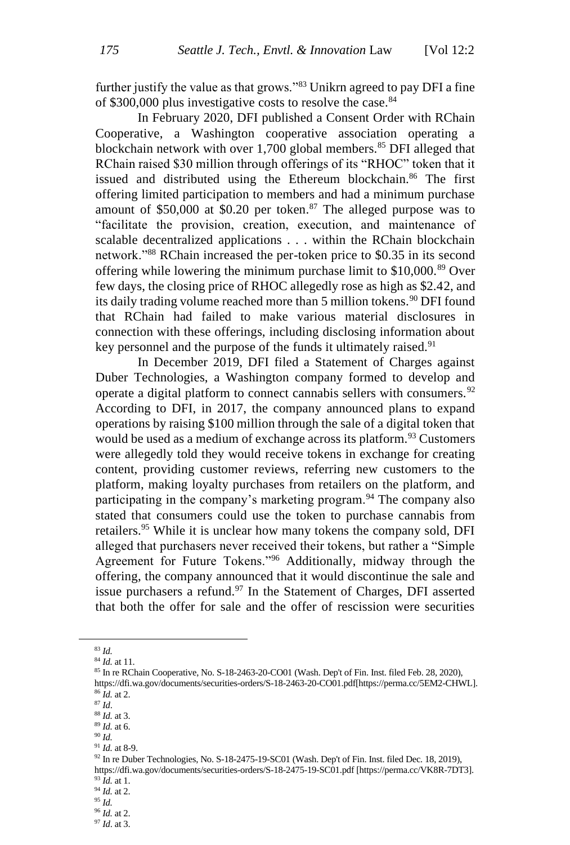further justify the value as that grows."<sup>83</sup> Unikrn agreed to pay DFI a fine of \$300,000 plus investigative costs to resolve the case.<sup>84</sup>

In February 2020, DFI published a Consent Order with RChain Cooperative, a Washington cooperative association operating a blockchain network with over 1,700 global members.<sup>85</sup> DFI alleged that RChain raised \$30 million through offerings of its "RHOC" token that it issued and distributed using the Ethereum blockchain.<sup>86</sup> The first offering limited participation to members and had a minimum purchase amount of  $$50,000$  at  $$0.20$  per token.<sup>87</sup> The alleged purpose was to "facilitate the provision, creation, execution, and maintenance of scalable decentralized applications . . . within the RChain blockchain network."<sup>88</sup> RChain increased the per-token price to \$0.35 in its second offering while lowering the minimum purchase limit to  $$10,000$ .<sup>89</sup> Over few days, the closing price of RHOC allegedly rose as high as \$2.42, and its daily trading volume reached more than 5 million tokens.<sup>90</sup> DFI found that RChain had failed to make various material disclosures in connection with these offerings, including disclosing information about key personnel and the purpose of the funds it ultimately raised.<sup>91</sup>

In December 2019, DFI filed a Statement of Charges against Duber Technologies, a Washington company formed to develop and operate a digital platform to connect cannabis sellers with consumers.  $92$ According to DFI, in 2017, the company announced plans to expand operations by raising \$100 million through the sale of a digital token that would be used as a medium of exchange across its platform.<sup>93</sup> Customers were allegedly told they would receive tokens in exchange for creating content, providing customer reviews, referring new customers to the platform, making loyalty purchases from retailers on the platform, and participating in the company's marketing program.<sup>94</sup> The company also stated that consumers could use the token to purchase cannabis from retailers.<sup>95</sup> While it is unclear how many tokens the company sold, DFI alleged that purchasers never received their tokens, but rather a "Simple Agreement for Future Tokens."<sup>96</sup> Additionally, midway through the offering, the company announced that it would discontinue the sale and issue purchasers a refund.<sup>97</sup> In the Statement of Charges, DFI asserted that both the offer for sale and the offer of rescission were securities

<sup>83</sup> *Id.* 

<sup>84</sup> *Id.* at 11.

<sup>85</sup> In re RChain Cooperative, No. S-18-2463-20-CO01 (Wash. Dep't of Fin. Inst. filed Feb. 28, 2020),

https://dfi.wa.gov/documents/securities-orders/S-18-2463-20-CO01.pdf[https://perma.cc/5EM2-CHWL]. <sup>86</sup> *Id.* at 2.

<sup>87</sup> *Id*.

<sup>88</sup> *Id.* at 3. <sup>89</sup> *Id.* at 6.

<sup>90</sup> *Id.*

<sup>91</sup> *Id.* at 8-9.

<sup>92</sup> In re Duber Technologies, No. S-18-2475-19-SC01 (Wash. Dep't of Fin. Inst. filed Dec. 18, 2019),

https://dfi.wa.gov/documents/securities-orders/S-18-2475-19-SC01.pdf [https://perma.cc/VK8R-7DT3]. <sup>93</sup> *Id.* at 1.

<sup>94</sup> *Id.* at 2.

<sup>95</sup> *Id.*

<sup>96</sup> *Id.* at 2.

<sup>97</sup> *Id*. at 3.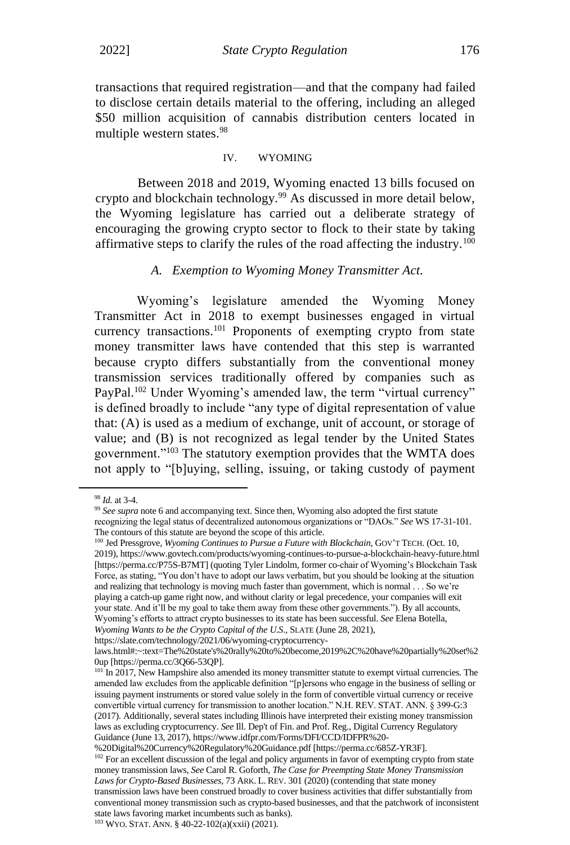transactions that required registration—and that the company had failed to disclose certain details material to the offering, including an alleged \$50 million acquisition of cannabis distribution centers located in multiple western states.<sup>98</sup>

#### IV. WYOMING

Between 2018 and 2019, Wyoming enacted 13 bills focused on crypto and blockchain technology.<sup>99</sup> As discussed in more detail below, the Wyoming legislature has carried out a deliberate strategy of encouraging the growing crypto sector to flock to their state by taking affirmative steps to clarify the rules of the road affecting the industry.<sup>100</sup>

#### *A. Exemption to Wyoming Money Transmitter Act.*

Wyoming's legislature amended the Wyoming Money Transmitter Act in 2018 to exempt businesses engaged in virtual currency transactions.<sup>101</sup> Proponents of exempting crypto from state money transmitter laws have contended that this step is warranted because crypto differs substantially from the conventional money transmission services traditionally offered by companies such as PayPal.<sup>102</sup> Under Wyoming's amended law, the term "virtual currency" is defined broadly to include "any type of digital representation of value that: (A) is used as a medium of exchange, unit of account, or storage of value; and (B) is not recognized as legal tender by the United States government."<sup>103</sup> The statutory exemption provides that the WMTA does not apply to "[b]uying, selling, issuing, or taking custody of payment

https://slate.com/technology/2021/06/wyoming-cryptocurrency-

<sup>98</sup> *Id.* at 3-4.

<sup>&</sup>lt;sup>99</sup> See supra note 6 and accompanying text. Since then, Wyoming also adopted the first statute recognizing the legal status of decentralized autonomous organizations or "DAOs." *See* WS 17-31-101. The contours of this statute are beyond the scope of this article.

<sup>&</sup>lt;sup>100</sup> Jed Pressgrove, *Wyoming Continues to Pursue a Future with Blockchain*, GOV'T TECH. (Oct. 10, 2019), https://www.govtech.com/products/wyoming-continues-to-pursue-a-blockchain-heavy-future.html [https://perma.cc/P75S-B7MT] (quoting Tyler Lindolm, former co-chair of Wyoming's Blockchain Task Force, as stating, "You don't have to adopt our laws verbatim, but you should be looking at the situation and realizing that technology is moving much faster than government, which is normal . . . So we're playing a catch-up game right now, and without clarity or legal precedence, your companies will exit your state. And it'll be my goal to take them away from these other governments."). By all accounts, Wyoming's efforts to attract crypto businesses to its state has been successful. *See* Elena Botella, *Wyoming Wants to be the Crypto Capital of the U.S*., SLATE (June 28, 2021),

laws.html#:~:text=The%20state's%20rally%20to%20become,2019%2C%20have%20partially%20set%2 0up [https://perma.cc/3Q66-53QP].

<sup>&</sup>lt;sup>101</sup> In 2017, New Hampshire also amended its money transmitter statute to exempt virtual currencies. The amended law excludes from the applicable definition "[p]ersons who engage in the business of selling or issuing payment instruments or stored value solely in the form of convertible virtual currency or receive convertible virtual currency for transmission to another location." N.H. REV. STAT. ANN. § 399-G:3 (2017). Additionally, several states including Illinois have interpreted their existing money transmission laws as excluding cryptocurrency. *See* Ill. Dep't of Fin. and Prof. Reg., Digital Currency Regulatory Guidance (June 13, 2017), https://www.idfpr.com/Forms/DFI/CCD/IDFPR%20-

<sup>%20</sup>Digital%20Currency%20Regulatory%20Guidance.pdf [https://perma.cc/685Z-YR3F]. <sup>102</sup> For an excellent discussion of the legal and policy arguments in favor of exempting crypto from state money transmission laws, *See* Carol R. Goforth, *The Case for Preempting State Money Transmission Laws for Crypto-Based Businesses*, 73 ARK. L. REV. 301 (2020) (contending that state money transmission laws have been construed broadly to cover business activities that differ substantially from conventional money transmission such as crypto-based businesses, and that the patchwork of inconsistent state laws favoring market incumbents such as banks). <sup>103</sup> WYO. STAT. ANN. § 40-22-102(a)(xxii) (2021).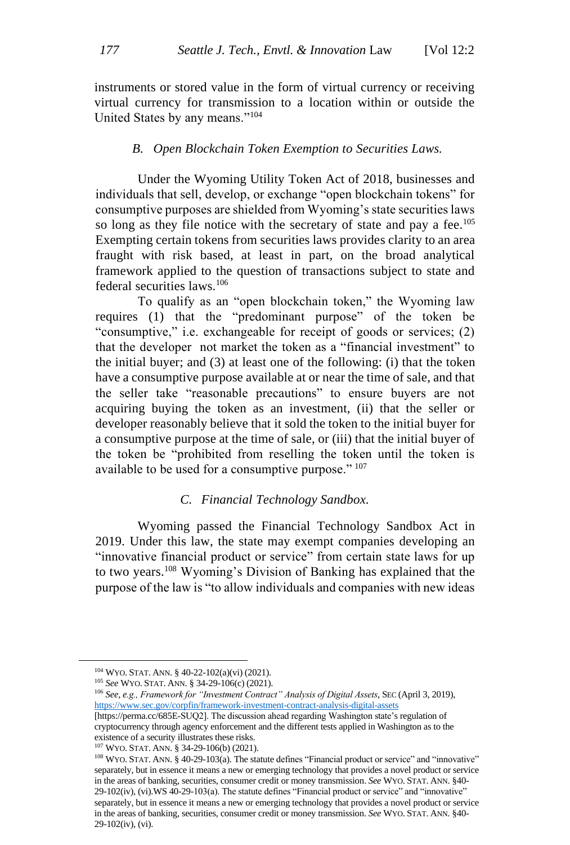instruments or stored value in the form of virtual currency or receiving virtual currency for transmission to a location within or outside the United States by any means."<sup>104</sup>

#### *B. Open Blockchain Token Exemption to Securities Laws.*

Under the Wyoming Utility Token Act of 2018, businesses and individuals that sell, develop, or exchange "open blockchain tokens" for consumptive purposes are shielded from Wyoming's state securities laws so long as they file notice with the secretary of state and pay a fee.<sup>105</sup> Exempting certain tokens from securities laws provides clarity to an area fraught with risk based, at least in part, on the broad analytical framework applied to the question of transactions subject to state and federal securities laws.<sup>106</sup>

To qualify as an "open blockchain token," the Wyoming law requires (1) that the "predominant purpose" of the token be "consumptive," i.e. exchangeable for receipt of goods or services; (2) that the developer not market the token as a "financial investment" to the initial buyer; and (3) at least one of the following: (i) that the token have a consumptive purpose available at or near the time of sale, and that the seller take "reasonable precautions" to ensure buyers are not acquiring buying the token as an investment, (ii) that the seller or developer reasonably believe that it sold the token to the initial buyer for a consumptive purpose at the time of sale, or (iii) that the initial buyer of the token be "prohibited from reselling the token until the token is available to be used for a consumptive purpose." <sup>107</sup>

#### *C. Financial Technology Sandbox.*

Wyoming passed the Financial Technology Sandbox Act in 2019. Under this law, the state may exempt companies developing an "innovative financial product or service" from certain state laws for up to two years.<sup>108</sup> Wyoming's Division of Banking has explained that the purpose of the law is "to allow individuals and companies with new ideas

<sup>104</sup> WYO. STAT. ANN. § 40-22-102(a)(vi) (2021).

<sup>105</sup> *See* WYO. STAT. ANN. § 34-29-106(c) (2021).

<sup>106</sup> *See, e.g., Framework for "Investment Contract" Analysis of Digital Assets*, SEC (April 3, 2019), <https://www.sec.gov/corpfin/framework-investment-contract-analysis-digital-assets>

<sup>[</sup>https://perma.cc/685E-SUQ2]. The discussion ahead regarding Washington state's regulation of cryptocurrency through agency enforcement and the different tests applied in Washington as to the existence of a security illustrates these risks.

<sup>107</sup> WYO. STAT. ANN. § 34-29-106(b) (2021).

<sup>108</sup> WYO. STAT. ANN. § 40-29-103(a). The statute defines "Financial product or service" and "innovative" separately, but in essence it means a new or emerging technology that provides a novel product or service in the areas of banking, securities, consumer credit or money transmission. *See* WYO. STAT. ANN. §40- 29-102(iv), (vi).WS 40-29-103(a). The statute defines "Financial product or service" and "innovative" separately, but in essence it means a new or emerging technology that provides a novel product or service in the areas of banking, securities, consumer credit or money transmission. *See* WYO. STAT. ANN. §40- 29-102(iv), (vi).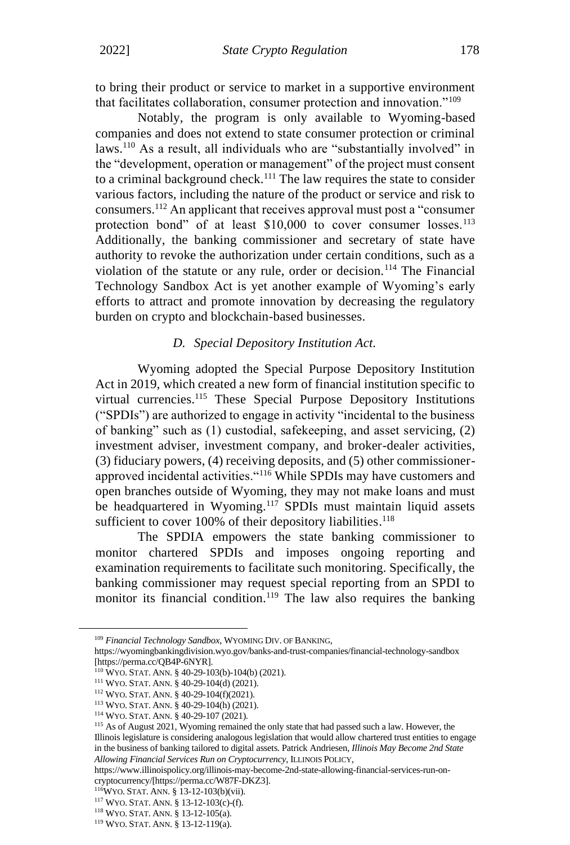to bring their product or service to market in a supportive environment that facilitates collaboration, consumer protection and innovation."<sup>109</sup>

Notably, the program is only available to Wyoming-based companies and does not extend to state consumer protection or criminal laws.<sup>110</sup> As a result, all individuals who are "substantially involved" in the "development, operation or management" of the project must consent to a criminal background check.<sup>111</sup> The law requires the state to consider various factors, including the nature of the product or service and risk to consumers.<sup>112</sup> An applicant that receives approval must post a "consumer protection bond" of at least \$10,000 to cover consumer losses.<sup>113</sup> Additionally, the banking commissioner and secretary of state have authority to revoke the authorization under certain conditions, such as a violation of the statute or any rule, order or decision.<sup>114</sup> The Financial Technology Sandbox Act is yet another example of Wyoming's early efforts to attract and promote innovation by decreasing the regulatory burden on crypto and blockchain-based businesses.

#### *D. Special Depository Institution Act.*

Wyoming adopted the Special Purpose Depository Institution Act in 2019, which created a new form of financial institution specific to virtual currencies.<sup>115</sup> These Special Purpose Depository Institutions ("SPDIs") are authorized to engage in activity "incidental to the business of banking" such as (1) custodial, safekeeping, and asset servicing, (2) investment adviser, investment company, and broker-dealer activities, (3) fiduciary powers, (4) receiving deposits, and (5) other commissionerapproved incidental activities."<sup>116</sup> While SPDIs may have customers and open branches outside of Wyoming, they may not make loans and must be headquartered in Wyoming.<sup>117</sup> SPDIs must maintain liquid assets sufficient to cover 100% of their depository liabilities.<sup>118</sup>

The SPDIA empowers the state banking commissioner to monitor chartered SPDIs and imposes ongoing reporting and examination requirements to facilitate such monitoring. Specifically, the banking commissioner may request special reporting from an SPDI to monitor its financial condition.<sup>119</sup> The law also requires the banking

<sup>109</sup> *Financial Technology Sandbox*, WYOMING DIV. OF BANKING,

https://wyomingbankingdivision.wyo.gov/banks-and-trust-companies/financial-technology-sandbox [https://perma.cc/QB4P-6NYR].

<sup>110</sup> WYO. STAT. ANN. § 40-29-103(b)-104(b) (2021).

<sup>111</sup> WYO. STAT. ANN. § 40-29-104(d) (2021).

<sup>112</sup> WYO. STAT. ANN. § 40-29-104(f)(2021).

<sup>113</sup> WYO. STAT. ANN. § 40-29-104(h) (2021).

<sup>114</sup> WYO. STAT. ANN. § 40-29-107 (2021).

<sup>115</sup> As of August 2021, Wyoming remained the only state that had passed such a law. However, the Illinois legislature is considering analogous legislation that would allow chartered trust entities to engage in the business of banking tailored to digital assets. Patrick Andriesen, *Illinois May Become 2nd State Allowing Financial Services Run on Cryptocurrency*, ILLINOIS POLICY,

https://www.illinoispolicy.org/illinois-may-become-2nd-state-allowing-financial-services-run-oncryptocurrency/[https://perma.cc/W87F-DKZ3].

<sup>116</sup>WYO. STAT. ANN. § 13-12-103(b)(vii).

<sup>117</sup> WYO. STAT. ANN. § 13-12-103(c)-(f).

<sup>118</sup> WYO. STAT. ANN. § 13-12-105(a).

<sup>119</sup> WYO. STAT. ANN. § 13-12-119(a).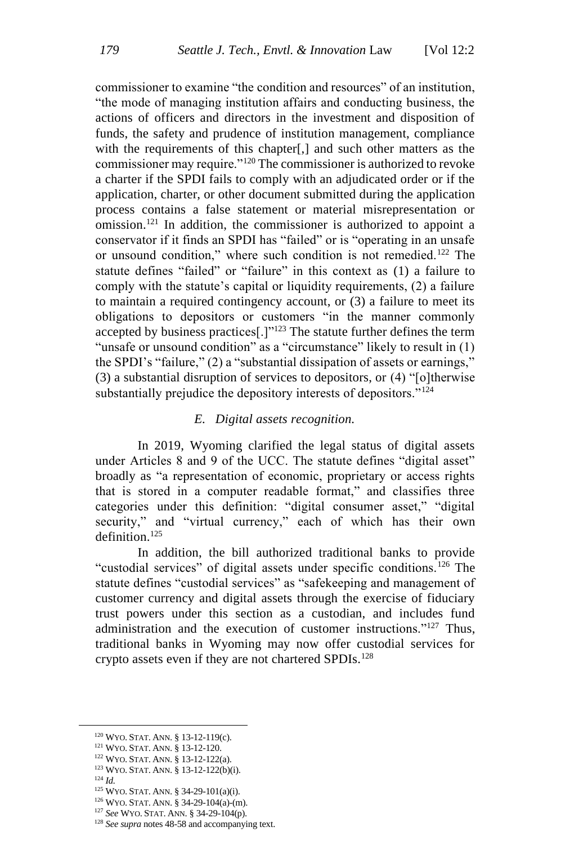commissioner to examine "the condition and resources" of an institution, "the mode of managing institution affairs and conducting business, the actions of officers and directors in the investment and disposition of funds, the safety and prudence of institution management, compliance with the requirements of this chapter[,] and such other matters as the commissioner may require."<sup>120</sup> The commissioner is authorized to revoke a charter if the SPDI fails to comply with an adjudicated order or if the application, charter, or other document submitted during the application process contains a false statement or material misrepresentation or omission.<sup>121</sup> In addition, the commissioner is authorized to appoint a conservator if it finds an SPDI has "failed" or is "operating in an unsafe or unsound condition," where such condition is not remedied.<sup>122</sup> The statute defines "failed" or "failure" in this context as (1) a failure to comply with the statute's capital or liquidity requirements, (2) a failure to maintain a required contingency account, or (3) a failure to meet its obligations to depositors or customers "in the manner commonly accepted by business practices<sup>[.]"123</sup> The statute further defines the term "unsafe or unsound condition" as a "circumstance" likely to result in (1) the SPDI's "failure," (2) a "substantial dissipation of assets or earnings," (3) a substantial disruption of services to depositors, or (4) "[o]therwise substantially prejudice the depository interests of depositors."<sup>124</sup>

#### *E. Digital assets recognition.*

In 2019, Wyoming clarified the legal status of digital assets under Articles 8 and 9 of the UCC. The statute defines "digital asset" broadly as "a representation of economic, proprietary or access rights that is stored in a computer readable format," and classifies three categories under this definition: "digital consumer asset," "digital security," and "virtual currency," each of which has their own definition.<sup>125</sup>

In addition, the bill authorized traditional banks to provide "custodial services" of digital assets under specific conditions.<sup>126</sup> The statute defines "custodial services" as "safekeeping and management of customer currency and digital assets through the exercise of fiduciary trust powers under this section as a custodian, and includes fund administration and the execution of customer instructions."<sup>127</sup> Thus, traditional banks in Wyoming may now offer custodial services for crypto assets even if they are not chartered SPDIs.<sup>128</sup>

- <sup>122</sup> WYO. STAT. ANN. § 13-12-122(a).
- <sup>123</sup> WYO. STAT. ANN. § 13-12-122(b)(i).
- <sup>124</sup> *Id.*
- <sup>125</sup> WYO. STAT. ANN. § 34-29-101(a)(i).
- <sup>126</sup> WYO. STAT. ANN. § 34-29-104(a)-(m).
- <sup>127</sup> *See* WYO. STAT. ANN. § 34-29-104(p).

<sup>120</sup> WYO. STAT. ANN. § 13-12-119(c).

<sup>121</sup> WYO. STAT. ANN. § 13-12-120.

<sup>&</sup>lt;sup>128</sup> See supra notes 48-58 and accompanying text.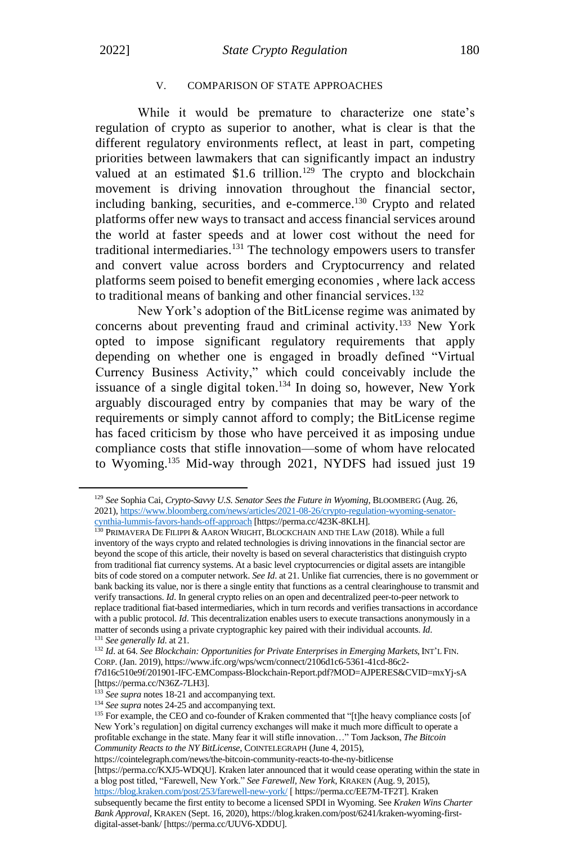#### V. COMPARISON OF STATE APPROACHES

While it would be premature to characterize one state's regulation of crypto as superior to another, what is clear is that the different regulatory environments reflect, at least in part, competing priorities between lawmakers that can significantly impact an industry valued at an estimated \$1.6 trillion.<sup>129</sup> The crypto and blockchain movement is driving innovation throughout the financial sector, including banking, securities, and e-commerce.<sup>130</sup> Crypto and related platforms offer new ways to transact and access financial services around the world at faster speeds and at lower cost without the need for traditional intermediaries.<sup>131</sup> The technology empowers users to transfer and convert value across borders and Cryptocurrency and related platforms seem poised to benefit emerging economies , where lack access to traditional means of banking and other financial services.<sup>132</sup>

New York's adoption of the BitLicense regime was animated by concerns about preventing fraud and criminal activity.<sup>133</sup> New York opted to impose significant regulatory requirements that apply depending on whether one is engaged in broadly defined "Virtual Currency Business Activity," which could conceivably include the issuance of a single digital token.<sup>134</sup> In doing so, however, New York arguably discouraged entry by companies that may be wary of the requirements or simply cannot afford to comply; the BitLicense regime has faced criticism by those who have perceived it as imposing undue compliance costs that stifle innovation—some of whom have relocated to Wyoming. <sup>135</sup> Mid-way through 2021, NYDFS had issued just 19

<sup>129</sup> *See* Sophia Cai, *Crypto-Savvy U.S. Senator Sees the Future in Wyoming*, BLOOMBERG (Aug. 26, 2021)[, https://www.bloomberg.com/news/articles/2021-08-26/crypto-regulation-wyoming-senator](https://www.bloomberg.com/news/articles/2021-08-26/crypto-regulation-wyoming-senator-cynthia-lummis-favors-hands-off-approach)[cynthia-lummis-favors-hands-off-approach](https://www.bloomberg.com/news/articles/2021-08-26/crypto-regulation-wyoming-senator-cynthia-lummis-favors-hands-off-approach) [https://perma.cc/423K-8KLH].

<sup>130</sup> PRIMAVERA DE FILIPPI & AARON WRIGHT, BLOCKCHAIN AND THE LAW (2018). While a full inventory of the ways crypto and related technologies is driving innovations in the financial sector are beyond the scope of this article, their novelty is based on several characteristics that distinguish crypto from traditional fiat currency systems. At a basic level cryptocurrencies or digital assets are intangible bits of code stored on a computer network. *See Id*. at 21. Unlike fiat currencies, there is no government or bank backing its value, nor is there a single entity that functions as a central clearinghouse to transmit and verify transactions. *Id*. In general crypto relies on an open and decentralized peer-to-peer network to replace traditional fiat-based intermediaries, which in turn records and verifies transactions in accordance with a public protocol. *Id*. This decentralization enables users to execute transactions anonymously in a matter of seconds using a private cryptographic key paired with their individual accounts. *Id*.

<sup>131</sup> *See generally Id*. at 21.

<sup>132</sup> *Id*. at 64. *See Blockchain: Opportunities for Private Enterprises in Emerging Markets*, INT'L FIN. CORP. (Jan. 2019), https://www.ifc.org/wps/wcm/connect/2106d1c6-5361-41cd-86c2 f7d16c510e9f/201901-IFC-EMCompass-Blockchain-Report.pdf?MOD=AJPERES&CVID=mxYj-sA [https://perma.cc/N36Z-7LH3].

<sup>&</sup>lt;sup>133</sup> See supra notes 18-21 and accompanying text.

<sup>&</sup>lt;sup>134</sup> See supra notes 24-25 and accompanying text.

<sup>&</sup>lt;sup>135</sup> For example, the CEO and co-founder of Kraken commented that "[t]he heavy compliance costs [of New York's regulation] on digital currency exchanges will make it much more difficult to operate a profitable exchange in the state. Many fear it will stifle innovation…" Tom Jackson, *The Bitcoin Community Reacts to the NY BitLicense*, COINTELEGRAPH (June 4, 2015),

https://cointelegraph.com/news/the-bitcoin-community-reacts-to-the-ny-bitlicense [https://perma.cc/KXJ5-WDQU]. Kraken later announced that it would cease operating within the state in a blog post titled, "Farewell, New York." *See Farewell, New York*, KRAKEN (Aug. 9, 2015), <https://blog.kraken.com/post/253/farewell-new-york/> [ https://perma.cc/EE7M-TF2T]. Kraken subsequently became the first entity to become a licensed SPDI in Wyoming. See *Kraken Wins Charter Bank Approval*, KRAKEN (Sept. 16, 2020), https://blog.kraken.com/post/6241/kraken-wyoming-firstdigital-asset-bank/ [https://perma.cc/UUV6-XDDU].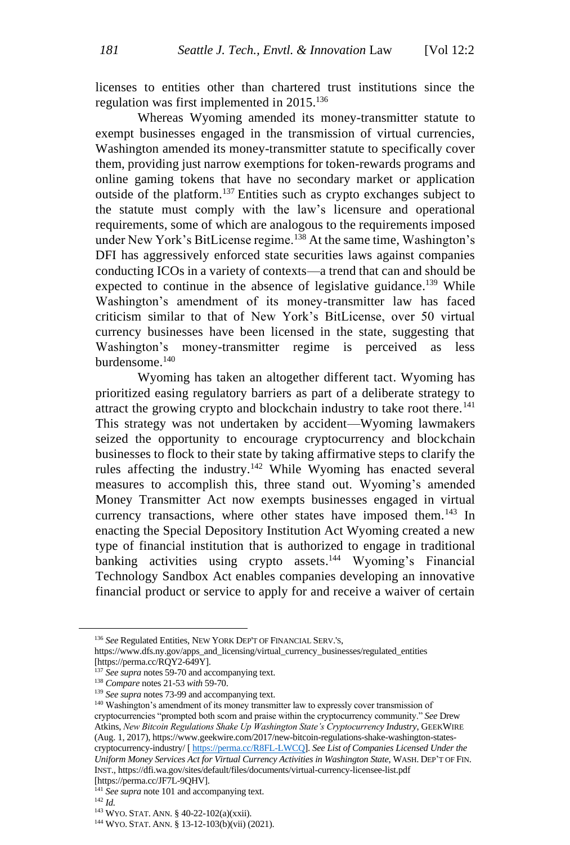licenses to entities other than chartered trust institutions since the regulation was first implemented in  $2015$ <sup>136</sup>

Whereas Wyoming amended its money-transmitter statute to exempt businesses engaged in the transmission of virtual currencies, Washington amended its money-transmitter statute to specifically cover them, providing just narrow exemptions for token-rewards programs and online gaming tokens that have no secondary market or application outside of the platform.<sup>137</sup> Entities such as crypto exchanges subject to the statute must comply with the law's licensure and operational requirements, some of which are analogous to the requirements imposed under New York's BitLicense regime.<sup>138</sup> At the same time, Washington's DFI has aggressively enforced state securities laws against companies conducting ICOs in a variety of contexts—a trend that can and should be expected to continue in the absence of legislative guidance.<sup>139</sup> While Washington's amendment of its money-transmitter law has faced criticism similar to that of New York's BitLicense, over 50 virtual currency businesses have been licensed in the state, suggesting that Washington's money-transmitter regime is perceived as less burdensome.<sup>140</sup>

Wyoming has taken an altogether different tact. Wyoming has prioritized easing regulatory barriers as part of a deliberate strategy to attract the growing crypto and blockchain industry to take root there.<sup>141</sup> This strategy was not undertaken by accident—Wyoming lawmakers seized the opportunity to encourage cryptocurrency and blockchain businesses to flock to their state by taking affirmative steps to clarify the rules affecting the industry.<sup>142</sup> While Wyoming has enacted several measures to accomplish this, three stand out. Wyoming's amended Money Transmitter Act now exempts businesses engaged in virtual currency transactions, where other states have imposed them.<sup>143</sup> In enacting the Special Depository Institution Act Wyoming created a new type of financial institution that is authorized to engage in traditional banking activities using crypto assets.<sup>144</sup> Wyoming's Financial Technology Sandbox Act enables companies developing an innovative financial product or service to apply for and receive a waiver of certain

<sup>136</sup> *See* Regulated Entities, NEW YORK DEP'T OF FINANCIAL SERV.'S,

https://www.dfs.ny.gov/apps\_and\_licensing/virtual\_currency\_businesses/regulated\_entities [https://perma.cc/RQY2-649Y].

<sup>&</sup>lt;sup>137</sup> *See supra* notes 59-70 and accompanying text.

<sup>138</sup> *Compare* notes 21-53 *with* 59-70.

<sup>&</sup>lt;sup>139</sup> *See supra* notes 73-99 and accompanying text.

<sup>&</sup>lt;sup>140</sup> Washington's amendment of its money transmitter law to expressly cover transmission of cryptocurrencies "prompted both scorn and praise within the cryptocurrency community." *See* Drew Atkins, *New Bitcoin Regulations Shake Up Washington State's Cryptocurrency Industry*, GEEKWIRE (Aug. 1, 2017), https://www.geekwire.com/2017/new-bitcoin-regulations-shake-washington-statescryptocurrency-industry/ [ [https://perma.cc/R8FL-LWCQ\]](https://perma.cc/R8FL-LWCQ). *See List of Companies Licensed Under the Uniform Money Services Act for Virtual Currency Activities in Washington State*, WASH. DEP'T OF FIN. INST., https://dfi.wa.gov/sites/default/files/documents/virtual-currency-licensee-list.pdf

<sup>[</sup>https://perma.cc/JF7L-9QHV].

<sup>&</sup>lt;sup>141</sup> See supra note 101 and accompanying text.

<sup>142</sup> *Id.*

<sup>143</sup> WYO. STAT. ANN. § 40-22-102(a)(xxii).

<sup>144</sup> WYO. STAT. ANN. § 13-12-103(b)(vii) (2021).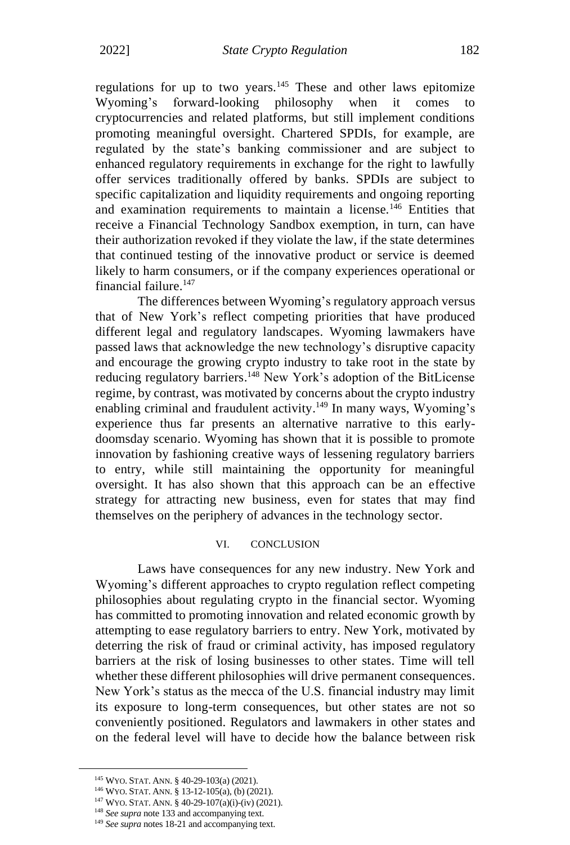regulations for up to two years.<sup>145</sup> These and other laws epitomize Wyoming's forward-looking philosophy when it comes to cryptocurrencies and related platforms, but still implement conditions promoting meaningful oversight. Chartered SPDIs, for example, are regulated by the state's banking commissioner and are subject to enhanced regulatory requirements in exchange for the right to lawfully offer services traditionally offered by banks. SPDIs are subject to specific capitalization and liquidity requirements and ongoing reporting and examination requirements to maintain a license.<sup>146</sup> Entities that receive a Financial Technology Sandbox exemption, in turn, can have their authorization revoked if they violate the law, if the state determines that continued testing of the innovative product or service is deemed likely to harm consumers, or if the company experiences operational or financial failure.<sup>147</sup>

The differences between Wyoming's regulatory approach versus that of New York's reflect competing priorities that have produced different legal and regulatory landscapes. Wyoming lawmakers have passed laws that acknowledge the new technology's disruptive capacity and encourage the growing crypto industry to take root in the state by reducing regulatory barriers.<sup>148</sup> New York's adoption of the BitLicense regime, by contrast, was motivated by concerns about the crypto industry enabling criminal and fraudulent activity.<sup>149</sup> In many ways, Wyoming's experience thus far presents an alternative narrative to this earlydoomsday scenario. Wyoming has shown that it is possible to promote innovation by fashioning creative ways of lessening regulatory barriers to entry, while still maintaining the opportunity for meaningful oversight. It has also shown that this approach can be an effective strategy for attracting new business, even for states that may find themselves on the periphery of advances in the technology sector.

#### VI. CONCLUSION

Laws have consequences for any new industry. New York and Wyoming's different approaches to crypto regulation reflect competing philosophies about regulating crypto in the financial sector. Wyoming has committed to promoting innovation and related economic growth by attempting to ease regulatory barriers to entry. New York, motivated by deterring the risk of fraud or criminal activity, has imposed regulatory barriers at the risk of losing businesses to other states. Time will tell whether these different philosophies will drive permanent consequences. New York's status as the mecca of the U.S. financial industry may limit its exposure to long-term consequences, but other states are not so conveniently positioned. Regulators and lawmakers in other states and on the federal level will have to decide how the balance between risk

<sup>145</sup> WYO. STAT. ANN. § 40-29-103(a) (2021).

<sup>146</sup> WYO. STAT. ANN. § 13-12-105(a), (b) (2021).

<sup>147</sup> WYO. STAT. ANN. § 40-29-107(a)(i)-(iv) (2021).

<sup>&</sup>lt;sup>148</sup> See supra note 133 and accompanying text.

<sup>&</sup>lt;sup>149</sup> See supra notes 18-21 and accompanying text.